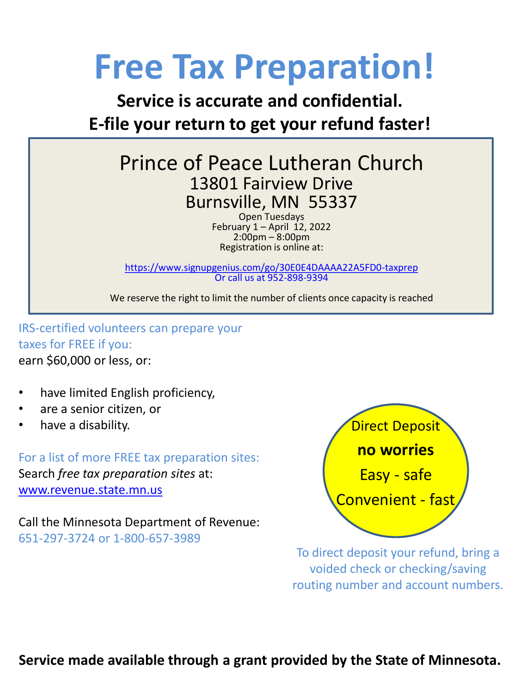# **Free Tax Preparation!**

### **Service is accurate and confidential. E-file your return to get your refund faster!**

### Prince of Peace Lutheran Church 13801 Fairview Drive Burnsville, MN 55337

Open Tuesdays February  $1 -$  April  $12$ , 2022  $2:00$ pm – 8:00pm Registration is online at:

<https://www.signupgenius.com/go/30E0E4DAAAA22A5FD0-taxprep> Or call us at 952-898-9394

We reserve the right to limit the number of clients once capacity is reached

IRS-certified volunteers can prepare your taxes for FREE if you: earn \$60,000 or less, or:

- have limited English proficiency,
- are a senior citizen, or
- have a disability.

For a list of more FREE tax preparation sites: Search *free tax preparation sites* at: [www.revenue.state.mn.us](http://www.revenue.state.mn.us/)

Call the Minnesota Department of Revenue: 651-297-3724 or 1-800-657-3989



To direct deposit your refund, bring a voided check or checking/saving routing number and account numbers.

**Service made available through a grant provided by the State of Minnesota.**